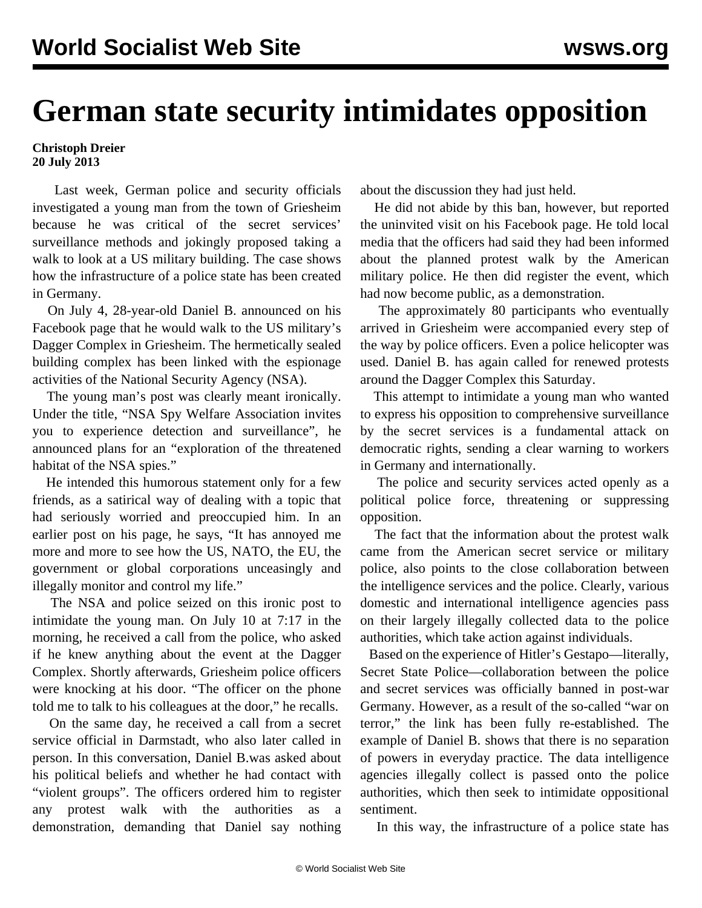## **German state security intimidates opposition**

## **Christoph Dreier 20 July 2013**

 Last week, German police and security officials investigated a young man from the town of Griesheim because he was critical of the secret services' surveillance methods and jokingly proposed taking a walk to look at a US military building. The case shows how the infrastructure of a police state has been created in Germany.

 On July 4, 28-year-old Daniel B. announced on his Facebook page that he would walk to the US military's Dagger Complex in Griesheim. The hermetically sealed building complex has been linked with the espionage activities of the National Security Agency (NSA).

 The young man's post was clearly meant ironically. Under the title, "NSA Spy Welfare Association invites you to experience detection and surveillance", he announced plans for an "exploration of the threatened habitat of the NSA spies."

 He intended this humorous statement only for a few friends, as a satirical way of dealing with a topic that had seriously worried and preoccupied him. In an earlier post on his page, he says, "It has annoyed me more and more to see how the US, NATO, the EU, the government or global corporations unceasingly and illegally monitor and control my life."

 The NSA and police seized on this ironic post to intimidate the young man. On July 10 at 7:17 in the morning, he received a call from the police, who asked if he knew anything about the event at the Dagger Complex. Shortly afterwards, Griesheim police officers were knocking at his door. "The officer on the phone told me to talk to his colleagues at the door," he recalls.

 On the same day, he received a call from a secret service official in Darmstadt, who also later called in person. In this conversation, Daniel B.was asked about his political beliefs and whether he had contact with "violent groups". The officers ordered him to register any protest walk with the authorities as a demonstration, demanding that Daniel say nothing about the discussion they had just held.

 He did not abide by this ban, however, but reported the uninvited visit on his Facebook page. He told local media that the officers had said they had been informed about the planned protest walk by the American military police. He then did register the event, which had now become public, as a demonstration.

 The approximately 80 participants who eventually arrived in Griesheim were accompanied every step of the way by police officers. Even a police helicopter was used. Daniel B. has again called for renewed protests around the Dagger Complex this Saturday.

 This attempt to intimidate a young man who wanted to express his opposition to comprehensive surveillance by the secret services is a fundamental attack on democratic rights, sending a clear warning to workers in Germany and internationally.

 The police and security services acted openly as a political police force, threatening or suppressing opposition.

 The fact that the information about the protest walk came from the American secret service or military police, also points to the close collaboration between the intelligence services and the police. Clearly, various domestic and international intelligence agencies pass on their largely illegally collected data to the police authorities, which take action against individuals.

 Based on the experience of Hitler's Gestapo—literally, Secret State Police—collaboration between the police and secret services was officially banned in post-war Germany. However, as a result of the so-called "war on terror," the link has been fully re-established. The example of Daniel B. shows that there is no separation of powers in everyday practice. The data intelligence agencies illegally collect is passed onto the police authorities, which then seek to intimidate oppositional sentiment.

In this way, the infrastructure of a police state has